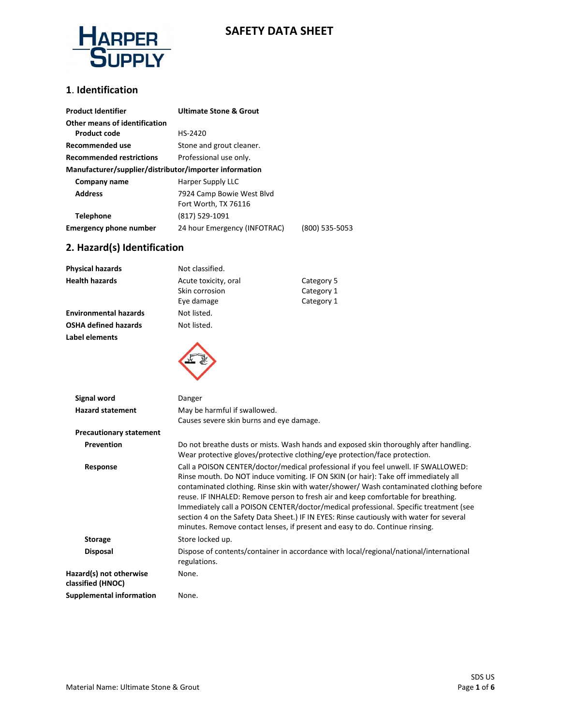

# **SAFETY DATA SHEET**

### **1**. **Identification**

| <b>Product Identifier</b>                              | <b>Ultimate Stone &amp; Grout</b> |                |  |
|--------------------------------------------------------|-----------------------------------|----------------|--|
| Other means of identification                          |                                   |                |  |
| <b>Product code</b>                                    | HS-2420                           |                |  |
| Recommended use                                        | Stone and grout cleaner.          |                |  |
| <b>Recommended restrictions</b>                        | Professional use only.            |                |  |
| Manufacturer/supplier/distributor/importer information |                                   |                |  |
| Company name                                           | Harper Supply LLC                 |                |  |
| <b>Address</b>                                         | 7924 Camp Bowie West Blvd         |                |  |
|                                                        | Fort Worth, TX 76116              |                |  |
| <b>Telephone</b>                                       | (817) 529-1091                    |                |  |
| <b>Emergency phone number</b>                          | 24 hour Emergency (INFOTRAC)      | (800) 535-5053 |  |

# **2. Hazard(s) Identification**

| <b>Physical hazards</b>      | Not classified.                                      |                                        |
|------------------------------|------------------------------------------------------|----------------------------------------|
| <b>Health hazards</b>        | Acute toxicity, oral<br>Skin corrosion<br>Eye damage | Category 5<br>Category 1<br>Category 1 |
| <b>Environmental hazards</b> | Not listed.                                          |                                        |
| <b>OSHA defined hazards</b>  | Not listed.                                          |                                        |
| Label elements               |                                                      |                                        |
| Signal word                  | Danger                                               |                                        |
| <b>Hazard statement</b>      | May be harmful if swallowed.                         |                                        |

|                                              | Causes severe skin burns and eye damage.                                                                                                                                                                                                                                                                                                                                                                                                                                                                                                                                                                                      |
|----------------------------------------------|-------------------------------------------------------------------------------------------------------------------------------------------------------------------------------------------------------------------------------------------------------------------------------------------------------------------------------------------------------------------------------------------------------------------------------------------------------------------------------------------------------------------------------------------------------------------------------------------------------------------------------|
| <b>Precautionary statement</b>               |                                                                                                                                                                                                                                                                                                                                                                                                                                                                                                                                                                                                                               |
| Prevention                                   | Do not breathe dusts or mists. Wash hands and exposed skin thoroughly after handling.<br>Wear protective gloves/protective clothing/eye protection/face protection.                                                                                                                                                                                                                                                                                                                                                                                                                                                           |
| Response                                     | Call a POISON CENTER/doctor/medical professional if you feel unwell. IF SWALLOWED:<br>Rinse mouth. Do NOT induce vomiting. IF ON SKIN (or hair): Take off immediately all<br>contaminated clothing. Rinse skin with water/shower/ Wash contaminated clothing before<br>reuse. IF INHALED: Remove person to fresh air and keep comfortable for breathing.<br>Immediately call a POISON CENTER/doctor/medical professional. Specific treatment (see<br>section 4 on the Safety Data Sheet.) IF IN EYES: Rinse cautiously with water for several<br>minutes. Remove contact lenses, if present and easy to do. Continue rinsing. |
| <b>Storage</b>                               | Store locked up.                                                                                                                                                                                                                                                                                                                                                                                                                                                                                                                                                                                                              |
| <b>Disposal</b>                              | Dispose of contents/container in accordance with local/regional/national/international<br>regulations.                                                                                                                                                                                                                                                                                                                                                                                                                                                                                                                        |
| Hazard(s) not otherwise<br>classified (HNOC) | None.                                                                                                                                                                                                                                                                                                                                                                                                                                                                                                                                                                                                                         |
| Supplemental information                     | None.                                                                                                                                                                                                                                                                                                                                                                                                                                                                                                                                                                                                                         |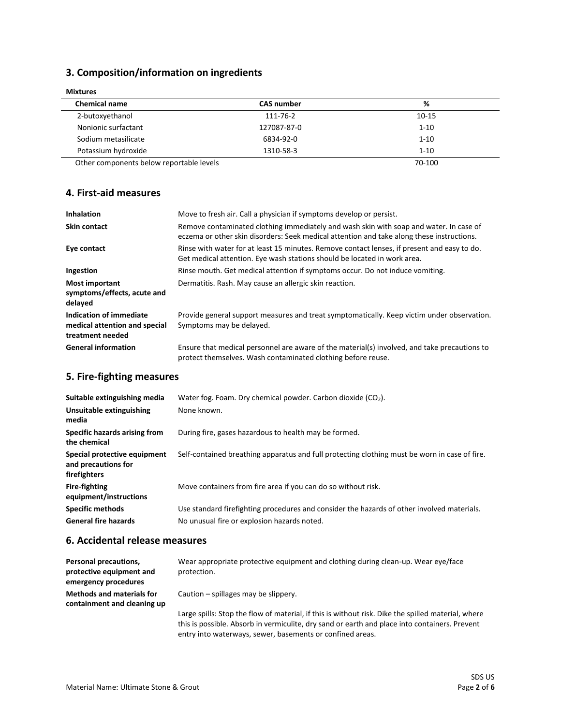# **3. Composition/information on ingredients**

| <b>Chemical name</b> | <b>CAS number</b> | %                        |
|----------------------|-------------------|--------------------------|
| 2-butoxyethanol      | 111-76-2          | $10 - 15$                |
| Nonionic surfactant  | 127087-87-0       | $1 - 10$                 |
| Sodium metasilicate  | 6834-92-0         | $1 - 10$                 |
| Potassium hydroxide  | 1310-58-3         | $1 - 10$                 |
|                      |                   | $\overline{\phantom{a}}$ |

**Mixtures**

Other components below reportable levels 70-100

### **4. First-aid measures**

| <b>Inhalation</b>                                                            | Move to fresh air. Call a physician if symptoms develop or persist.                                                                                                                 |
|------------------------------------------------------------------------------|-------------------------------------------------------------------------------------------------------------------------------------------------------------------------------------|
| <b>Skin contact</b>                                                          | Remove contaminated clothing immediately and wash skin with soap and water. In case of<br>eczema or other skin disorders: Seek medical attention and take along these instructions. |
| Eye contact                                                                  | Rinse with water for at least 15 minutes. Remove contact lenses, if present and easy to do.<br>Get medical attention. Eye wash stations should be located in work area.             |
| Ingestion                                                                    | Rinse mouth. Get medical attention if symptoms occur. Do not induce vomiting.                                                                                                       |
| <b>Most important</b><br>symptoms/effects, acute and<br>delayed              | Dermatitis. Rash. May cause an allergic skin reaction.                                                                                                                              |
| Indication of immediate<br>medical attention and special<br>treatment needed | Provide general support measures and treat symptomatically. Keep victim under observation.<br>Symptoms may be delayed.                                                              |
| <b>General information</b>                                                   | Ensure that medical personnel are aware of the material(s) involved, and take precautions to<br>protect themselves. Wash contaminated clothing before reuse.                        |

# **5. Fire-fighting measures**

| Suitable extinguishing media                                        | Water fog. Foam. Dry chemical powder. Carbon dioxide $(CO2)$ .                                |
|---------------------------------------------------------------------|-----------------------------------------------------------------------------------------------|
| <b>Unsuitable extinguishing</b><br>media                            | None known.                                                                                   |
| Specific hazards arising from<br>the chemical                       | During fire, gases hazardous to health may be formed.                                         |
| Special protective equipment<br>and precautions for<br>firefighters | Self-contained breathing apparatus and full protecting clothing must be worn in case of fire. |
| <b>Fire-fighting</b><br>equipment/instructions                      | Move containers from fire area if you can do so without risk.                                 |
| <b>Specific methods</b>                                             | Use standard firefighting procedures and consider the hazards of other involved materials.    |
| <b>General fire hazards</b>                                         | No unusual fire or explosion hazards noted.                                                   |

### **6. Accidental release measures**

| Personal precautions,<br>protective equipment and<br>emergency procedures | Wear appropriate protective equipment and clothing during clean-up. Wear eye/face<br>protection.                                                                                                    |
|---------------------------------------------------------------------------|-----------------------------------------------------------------------------------------------------------------------------------------------------------------------------------------------------|
| <b>Methods and materials for</b><br>containment and cleaning up           | Caution – spillages may be slippery.                                                                                                                                                                |
|                                                                           | Large spills: Stop the flow of material, if this is without risk. Dike the spilled material, where<br>this is possible. Absorb in vermiculite, dry sand or earth and place into containers. Prevent |

entry into waterways, sewer, basements or confined areas.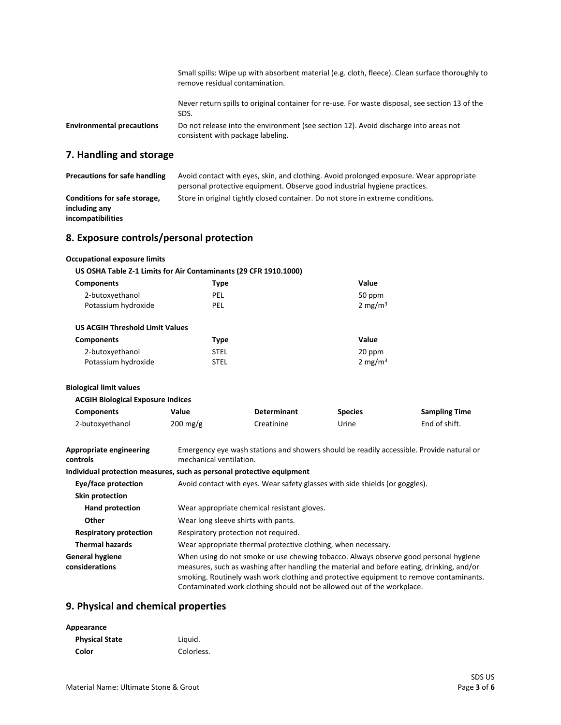|                                  | Small spills: Wipe up with absorbent material (e.g. cloth, fleece). Clean surface thoroughly to<br>remove residual contamination. |
|----------------------------------|-----------------------------------------------------------------------------------------------------------------------------------|
|                                  | Never return spills to original container for re-use. For waste disposal, see section 13 of the<br>SDS.                           |
| <b>Environmental precautions</b> | Do not release into the environment (see section 12). Avoid discharge into areas not<br>consistent with package labeling.         |
| a Handling and storage           |                                                                                                                                   |

# **7. Handling and storage**

| <b>Precautions for safe handling</b> | Avoid contact with eyes, skin, and clothing. Avoid prolonged exposure. Wear appropriate |
|--------------------------------------|-----------------------------------------------------------------------------------------|
|                                      | personal protective equipment. Observe good industrial hygiene practices.               |
| Conditions for safe storage,         | Store in original tightly closed container. Do not store in extreme conditions.         |
| including any                        |                                                                                         |
| incompatibilities                    |                                                                                         |

## **8. Exposure controls/personal protection**

#### **Occupational exposure limits US OSHA Table Z-1 Limits for Air Contaminants (29 CFR 1910.1000) Components Type Value** 2-butoxyethanol Potassium hydroxide PEL PEL 50 ppm 2 mg/ $m<sup>3</sup>$  **US ACGIH Threshold Limit Values Components Type Value** 2-butoxyethanol Potassium hydroxide STEL STEL 20 ppm 2 mg/ $m<sup>3</sup>$ **Biological limit values ACGIH Biological Exposure Indices Components Value Determinant Species Sampling Time** 2-butoxyethanol 200 mg/g Creatinine Urine End of shift.

| Appropriate engineering<br>controls      | Emergency eye wash stations and showers should be readily accessible. Provide natural or<br>mechanical ventilation.                                                                                                                                                                                                                                   |
|------------------------------------------|-------------------------------------------------------------------------------------------------------------------------------------------------------------------------------------------------------------------------------------------------------------------------------------------------------------------------------------------------------|
|                                          | Individual protection measures, such as personal protective equipment                                                                                                                                                                                                                                                                                 |
| Eye/face protection                      | Avoid contact with eyes. Wear safety glasses with side shields (or goggles).                                                                                                                                                                                                                                                                          |
| Skin protection                          |                                                                                                                                                                                                                                                                                                                                                       |
| <b>Hand protection</b>                   | Wear appropriate chemical resistant gloves.                                                                                                                                                                                                                                                                                                           |
| <b>Other</b>                             | Wear long sleeve shirts with pants.                                                                                                                                                                                                                                                                                                                   |
| <b>Respiratory protection</b>            | Respiratory protection not required.                                                                                                                                                                                                                                                                                                                  |
| <b>Thermal hazards</b>                   | Wear appropriate thermal protective clothing, when necessary.                                                                                                                                                                                                                                                                                         |
| <b>General hygiene</b><br>considerations | When using do not smoke or use chewing tobacco. Always observe good personal hygiene<br>measures, such as washing after handling the material and before eating, drinking, and/or<br>smoking. Routinely wash work clothing and protective equipment to remove contaminants.<br>Contaminated work clothing should not be allowed out of the workplace. |

#### **9. Physical and chemical properties**

| Appearance            |            |
|-----------------------|------------|
| <b>Physical State</b> | Liquid.    |
| Color                 | Colorless. |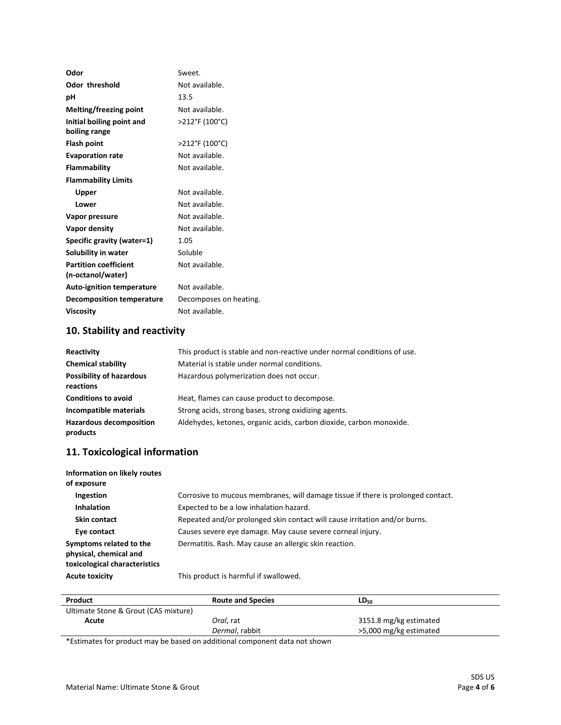| Odor                             | Sweet.                 |
|----------------------------------|------------------------|
| Odor threshold                   | Not available.         |
| рH                               | 13.5                   |
| Melting/freezing point           | Not available.         |
| Initial boiling point and        | >212°F (100°C)         |
| boiling range                    |                        |
| <b>Flash point</b>               | >212°F (100°C)         |
| <b>Evaporation rate</b>          | Not available.         |
| <b>Flammability</b>              | Not available.         |
| <b>Flammability Limits</b>       |                        |
| Upper                            | Not available.         |
| Lower                            | Not available.         |
| Vapor pressure                   | Not available.         |
| Vapor density                    | Not available.         |
| Specific gravity (water=1)       | 1.05                   |
| Solubility in water              | Soluble                |
| <b>Partition coefficient</b>     | Not available.         |
| (n-octanol/water)                |                        |
| <b>Auto-ignition temperature</b> | Not available.         |
| <b>Decomposition temperature</b> | Decomposes on heating. |
| <b>Viscosity</b>                 | Not available.         |
|                                  |                        |

# **10. Stability and reactivity**

| Reactivity                                   | This product is stable and non-reactive under normal conditions of use. |
|----------------------------------------------|-------------------------------------------------------------------------|
| <b>Chemical stability</b>                    | Material is stable under normal conditions.                             |
| <b>Possibility of hazardous</b><br>reactions | Hazardous polymerization does not occur.                                |
| <b>Conditions to avoid</b>                   | Heat, flames can cause product to decompose.                            |
| Incompatible materials                       | Strong acids, strong bases, strong oxidizing agents.                    |
| <b>Hazardous decomposition</b><br>products   | Aldehydes, ketones, organic acids, carbon dioxide, carbon monoxide.     |

# **11. Toxicological information**

| Information on likely routes<br>of exposure                                        |                                                                                  |
|------------------------------------------------------------------------------------|----------------------------------------------------------------------------------|
| Ingestion                                                                          | Corrosive to mucous membranes, will damage tissue if there is prolonged contact. |
| <b>Inhalation</b>                                                                  | Expected to be a low inhalation hazard.                                          |
| <b>Skin contact</b>                                                                | Repeated and/or prolonged skin contact will cause irritation and/or burns.       |
| Eye contact                                                                        | Causes severe eye damage. May cause severe corneal injury.                       |
| Symptoms related to the<br>physical, chemical and<br>toxicological characteristics | Dermatitis. Rash. May cause an allergic skin reaction.                           |
| <b>Acute toxicity</b>                                                              | This product is harmful if swallowed.                                            |

| Product                              | <b>Route and Species</b> | LD <sub>50</sub>       |
|--------------------------------------|--------------------------|------------------------|
| Ultimate Stone & Grout (CAS mixture) |                          |                        |
| Acute                                | Oral. rat                | 3151.8 mg/kg estimated |
|                                      | Dermal, rabbit           | >5,000 mg/kg estimated |

\*Estimates for product may be based on additional component data not shown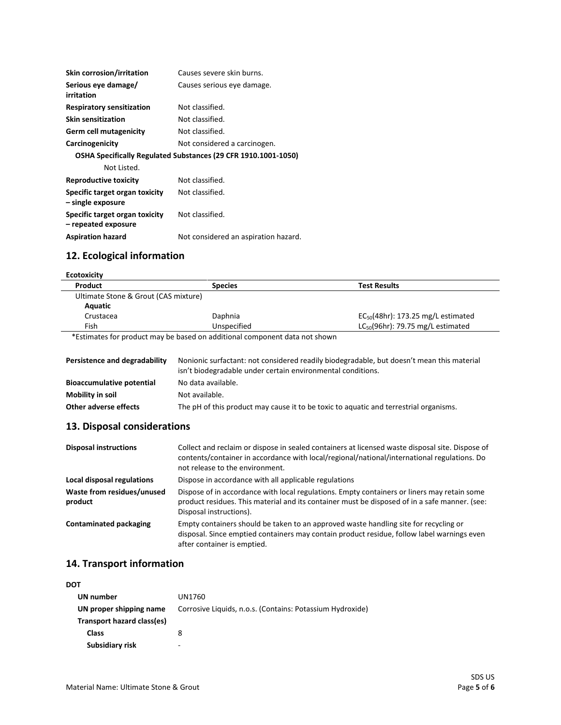| <b>Skin corrosion/irritation</b>                      | Causes severe skin burns.                                      |
|-------------------------------------------------------|----------------------------------------------------------------|
| Serious eye damage/<br>irritation                     | Causes serious eye damage.                                     |
| <b>Respiratory sensitization</b>                      | Not classified.                                                |
| <b>Skin sensitization</b>                             | Not classified.                                                |
| <b>Germ cell mutagenicity</b>                         | Not classified.                                                |
| Carcinogenicity                                       | Not considered a carcinogen.                                   |
|                                                       | OSHA Specifically Regulated Substances (29 CFR 1910.1001-1050) |
| Not Listed.                                           |                                                                |
| Reproductive toxicity                                 | Not classified.                                                |
| Specific target organ toxicity<br>- single exposure   | Not classified.                                                |
| Specific target organ toxicity<br>- repeated exposure | Not classified.                                                |
| <b>Aspiration hazard</b>                              | Not considered an aspiration hazard.                           |

# **12. Ecological information**

# **Ecotoxicity**

| <b>Species</b> | Test Results                            |
|----------------|-----------------------------------------|
|                |                                         |
|                |                                         |
| Daphnia        | $EC_{50}(48hr)$ : 173.25 mg/L estimated |
| Unspecified    | $LC_{50}(96hr)$ : 79.75 mg/L estimated  |
|                |                                         |

\*Estimates for product may be based on additional component data not shown

| Persistence and degradability    | Nonionic surfactant: not considered readily biodegradable, but doesn't mean this material<br>isn't biodegradable under certain environmental conditions. |
|----------------------------------|----------------------------------------------------------------------------------------------------------------------------------------------------------|
| <b>Bioaccumulative potential</b> | No data available.                                                                                                                                       |
| Mobility in soil                 | Not available.                                                                                                                                           |
| Other adverse effects            | The pH of this product may cause it to be toxic to aquatic and terrestrial organisms.                                                                    |

#### **13. Disposal considerations**

| <b>Disposal instructions</b>          | Collect and reclaim or dispose in sealed containers at licensed waste disposal site. Dispose of<br>contents/container in accordance with local/regional/national/international regulations. Do<br>not release to the environment. |
|---------------------------------------|-----------------------------------------------------------------------------------------------------------------------------------------------------------------------------------------------------------------------------------|
| Local disposal regulations            | Dispose in accordance with all applicable regulations                                                                                                                                                                             |
| Waste from residues/unused<br>product | Dispose of in accordance with local regulations. Empty containers or liners may retain some<br>product residues. This material and its container must be disposed of in a safe manner. (see:<br>Disposal instructions).           |
| <b>Contaminated packaging</b>         | Empty containers should be taken to an approved waste handling site for recycling or<br>disposal. Since emptied containers may contain product residue, follow label warnings even<br>after container is emptied.                 |

# **14. Transport information**

| DOT                        |                                                           |
|----------------------------|-----------------------------------------------------------|
| UN number                  | UN1760                                                    |
| UN proper shipping name    | Corrosive Liquids, n.o.s. (Contains: Potassium Hydroxide) |
| Transport hazard class(es) |                                                           |
| Class                      | 8                                                         |
| Subsidiary risk            | -                                                         |